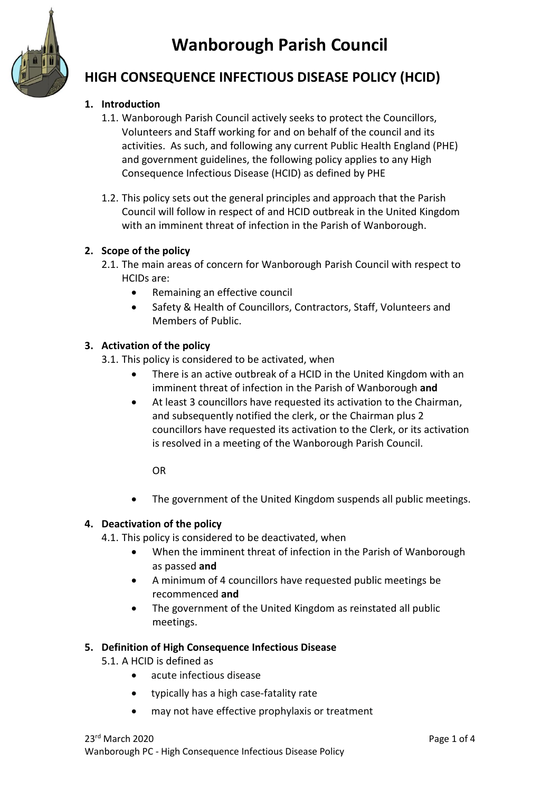# **Wanborough Parish Council**



# **HIGH CONSEQUENCE INFECTIOUS DISEASE POLICY (HCID)**

### **1. Introduction**

- 1.1. Wanborough Parish Council actively seeks to protect the Councillors, Volunteers and Staff working for and on behalf of the council and its activities. As such, and following any current Public Health England (PHE) and government guidelines, the following policy applies to any High Consequence Infectious Disease (HCID) as defined by PHE
- 1.2. This policy sets out the general principles and approach that the Parish Council will follow in respect of and HCID outbreak in the United Kingdom with an imminent threat of infection in the Parish of Wanborough.

#### **2. Scope of the policy**

- 2.1. The main areas of concern for Wanborough Parish Council with respect to HCIDs are:
	- Remaining an effective council
	- Safety & Health of Councillors, Contractors, Staff, Volunteers and Members of Public.

#### **3. Activation of the policy**

3.1. This policy is considered to be activated, when

- There is an active outbreak of a HCID in the United Kingdom with an imminent threat of infection in the Parish of Wanborough **and**
- At least 3 councillors have requested its activation to the Chairman, and subsequently notified the clerk, or the Chairman plus 2 councillors have requested its activation to the Clerk, or its activation is resolved in a meeting of the Wanborough Parish Council.

OR

• The government of the United Kingdom suspends all public meetings.

#### **4. Deactivation of the policy**

- 4.1. This policy is considered to be deactivated, when
	- When the imminent threat of infection in the Parish of Wanborough as passed **and**
	- A minimum of 4 councillors have requested public meetings be recommenced **and**
	- The government of the United Kingdom as reinstated all public meetings.

#### **5. Definition of High Consequence Infectious Disease**

5.1. A HCID is defined as

- acute infectious disease
- typically has a high case-fatality rate
- may not have effective prophylaxis or treatment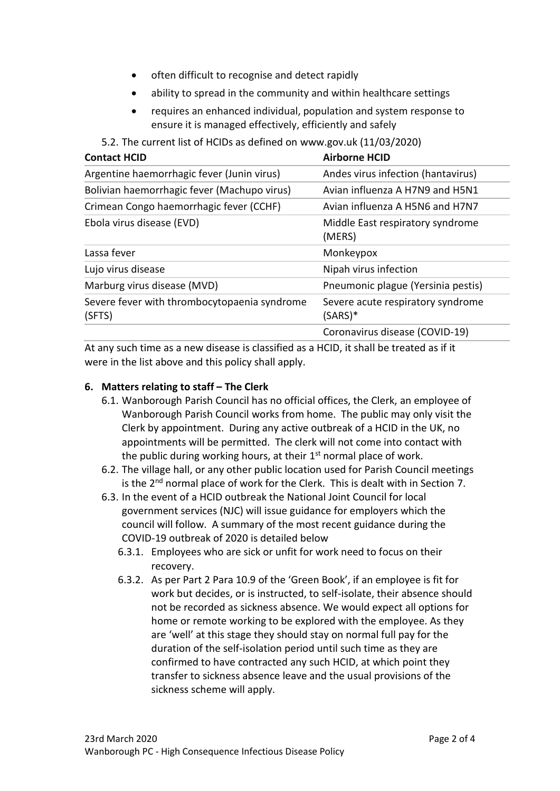- often difficult to recognise and detect rapidly
- ability to spread in the community and within healthcare settings
- requires an enhanced individual, population and system response to ensure it is managed effectively, efficiently and safely
- 5.2. The current list of HCIDs as defined on www.gov.uk (11/03/2020)

<span id="page-1-0"></span>

| <b>Airborne HCID</b>                           |
|------------------------------------------------|
| Andes virus infection (hantavirus)             |
| Avian influenza A H7N9 and H5N1                |
| Avian influenza A H5N6 and H7N7                |
| Middle East respiratory syndrome<br>(MERS)     |
| Monkeypox                                      |
| Nipah virus infection                          |
| Pneumonic plague (Yersinia pestis)             |
| Severe acute respiratory syndrome<br>$(SARS)*$ |
| Coronavirus disease (COVID-19)                 |
|                                                |

At any such time as a new disease is classified as a HCID, it shall be treated as if it were in the list above and this policy shall apply.

#### **6. Matters relating to staff – The Clerk**

- 6.1. Wanborough Parish Council has no official offices, the Clerk, an employee of Wanborough Parish Council works from home. The public may only visit the Clerk by appointment. During any active outbreak of a HCID in the UK, no appointments will be permitted. The clerk will not come into contact with the public during working hours, at their 1<sup>st</sup> normal place of work.
- 6.2. The village hall, or any other public location used for Parish Council meetings is the 2<sup>nd</sup> normal place of work for the Clerk. This is dealt with in Section [7.](#page-2-0)
- 6.3. In the event of a HCID outbreak the National Joint Council for local government services (NJC) will issue guidance for employers which the council will follow. A summary of the most recent guidance during the COVID-19 outbreak of 2020 is detailed below
	- 6.3.1. Employees who are sick or unfit for work need to focus on their recovery.
	- 6.3.2. As per Part 2 Para 10.9 of the 'Green Book', if an employee is fit for work but decides, or is instructed, to self-isolate, their absence should not be recorded as sickness absence. We would expect all options for home or remote working to be explored with the employee. As they are 'well' at this stage they should stay on normal full pay for the duration of the self-isolation period until such time as they are confirmed to have contracted any such HCID, at which point they transfer to sickness absence leave and the usual provisions of the sickness scheme will apply.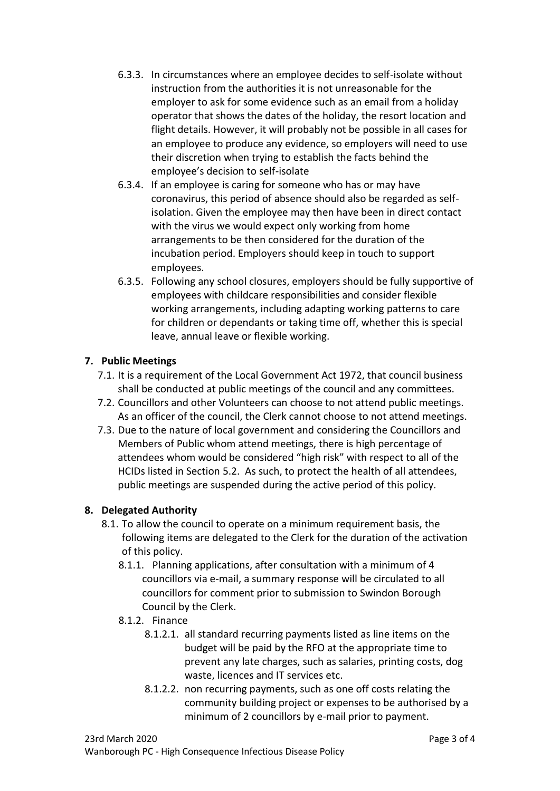- 6.3.3. In circumstances where an employee decides to self-isolate without instruction from the authorities it is not unreasonable for the employer to ask for some evidence such as an email from a holiday operator that shows the dates of the holiday, the resort location and flight details. However, it will probably not be possible in all cases for an employee to produce any evidence, so employers will need to use their discretion when trying to establish the facts behind the employee's decision to self-isolate
- 6.3.4. If an employee is caring for someone who has or may have coronavirus, this period of absence should also be regarded as selfisolation. Given the employee may then have been in direct contact with the virus we would expect only working from home arrangements to be then considered for the duration of the incubation period. Employers should keep in touch to support employees.
- 6.3.5. Following any school closures, employers should be fully supportive of employees with childcare responsibilities and consider flexible working arrangements, including adapting working patterns to care for children or dependants or taking time off, whether this is special leave, annual leave or flexible working.

# <span id="page-2-0"></span>**7. Public Meetings**

- 7.1. It is a requirement of the Local Government Act 1972, that council business shall be conducted at public meetings of the council and any committees.
- 7.2. Councillors and other Volunteers can choose to not attend public meetings. As an officer of the council, the Clerk cannot choose to not attend meetings.
- 7.3. Due to the nature of local government and considering the Councillors and Members of Public whom attend meetings, there is high percentage of attendees whom would be considered "high risk" with respect to all of the HCIDs listed in Section [5.2.](#page-1-0) As such, to protect the health of all attendees, public meetings are suspended during the active period of this policy.

#### **8. Delegated Authority**

- <span id="page-2-1"></span>8.1. To allow the council to operate on a minimum requirement basis, the following items are delegated to the Clerk for the duration of the activation of this policy.
	- 8.1.1. Planning applications, after consultation with a minimum of 4 councillors via e-mail, a summary response will be circulated to all councillors for comment prior to submission to Swindon Borough Council by the Clerk.
	- 8.1.2. Finance
		- 8.1.2.1. all standard recurring payments listed as line items on the budget will be paid by the RFO at the appropriate time to prevent any late charges, such as salaries, printing costs, dog waste, licences and IT services etc.
		- 8.1.2.2. non recurring payments, such as one off costs relating the community building project or expenses to be authorised by a minimum of 2 councillors by e-mail prior to payment.